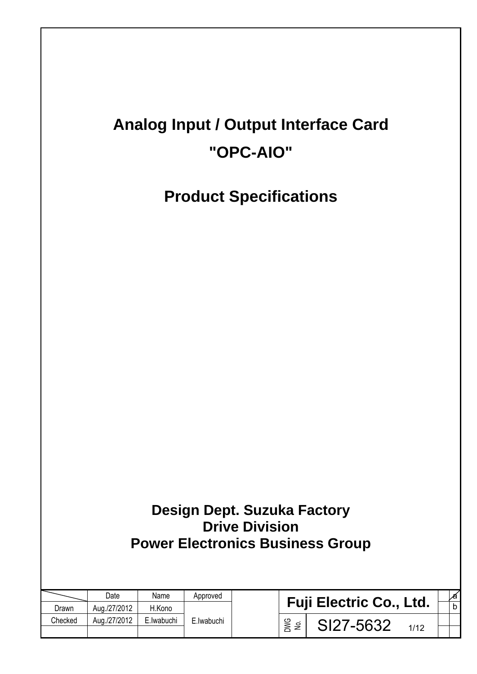# **Analog Input / Output Interface Card "OPC-AIO"**

**Product Specifications** 

| Design Dept. Suzuka Factory             |  |
|-----------------------------------------|--|
| <b>Drive Division</b>                   |  |
| <b>Power Electronics Business Group</b> |  |

|         | Date         | Name       | Approved    |            |                                | l∕a          |
|---------|--------------|------------|-------------|------------|--------------------------------|--------------|
| Drawn   | Aug./27/2012 | H.Kono     |             |            | <b>Fuji Electric Co., Ltd.</b> | $\mathsf{b}$ |
| Checked | Aug./27/2012 | E.Iwabuchi | E. Iwabuchi | DWG<br>Nei | SI27-5632                      |              |
|         |              |            |             |            |                                |              |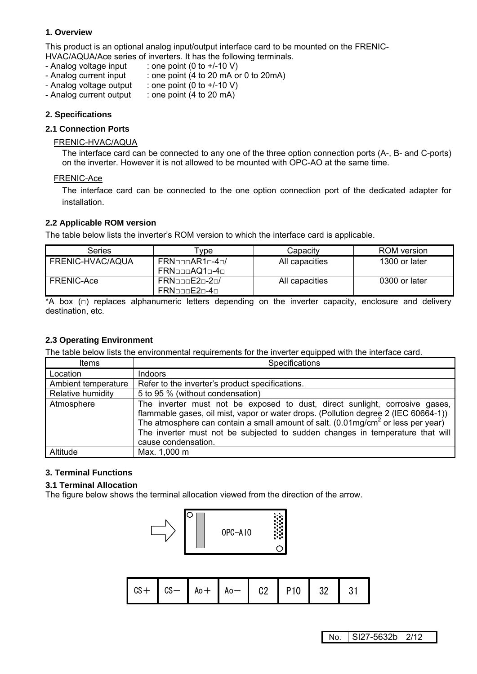## **1. Overview**

This product is an optional analog input/output interface card to be mounted on the FRENIC-HVAC/AQUA/Ace series of inverters. It has the following terminals.

- Analog voltage input : one point  $(0 \text{ to } +/-10 \text{ V})$
- 
- Analog current input : one point (4 to 20 mA or 0 to 20 mA)
- Analog voltage output : one point (0 to +/-10 V)<br>- Analog current output : one point (4 to 20 mA)
- $:$  one point (4 to 20 mA)

## **2. Specifications**

## **2.1 Connection Ports**

#### FRENIC-HVAC/AQUA

The interface card can be connected to any one of the three option connection ports (A-, B- and C-ports) on the inverter. However it is not allowed to be mounted with OPC-AO at the same time.

#### FRENIC-Ace

The interface card can be connected to the one option connection port of the dedicated adapter for installation.

### **2.2 Applicable ROM version**

The table below lists the inverter's ROM version to which the interface card is applicable.

| Series                  | vpe                                    | Capacitv       | ROM version   |
|-------------------------|----------------------------------------|----------------|---------------|
| <b>FRENIC-HVAC/AQUA</b> | $FRN$ nnn $AR1$ n-4n/<br>FRN□□□AQ1□-4□ | All capacities | 1300 or later |
| FRENIC-Ace              | $FRN$ nnn $E2n-2n/$<br>FRNoonE2n-4n    | All capacities | 0300 or later |

\*A box ( $\Box$ ) replaces alphanumeric letters depending on the inverter capacity, enclosure and delivery destination, etc.

## **2.3 Operating Environment**

The table below lists the environmental requirements for the inverter equipped with the interface card.

| Items               | Specifications                                                                                                                                                                                                                                                                                                                                                             |  |  |  |
|---------------------|----------------------------------------------------------------------------------------------------------------------------------------------------------------------------------------------------------------------------------------------------------------------------------------------------------------------------------------------------------------------------|--|--|--|
| Location            | Indoors                                                                                                                                                                                                                                                                                                                                                                    |  |  |  |
| Ambient temperature | Refer to the inverter's product specifications.                                                                                                                                                                                                                                                                                                                            |  |  |  |
| Relative humidity   | 5 to 95 % (without condensation)                                                                                                                                                                                                                                                                                                                                           |  |  |  |
| Atmosphere          | The inverter must not be exposed to dust, direct sunlight, corrosive gases,<br>flammable gases, oil mist, vapor or water drops. (Pollution degree 2 (IEC 60664-1))<br>The atmosphere can contain a small amount of salt. (0.01mg/cm <sup>2</sup> or less per year)<br>The inverter must not be subjected to sudden changes in temperature that will<br>cause condensation. |  |  |  |
| Altitude            | Max. 1,000 m                                                                                                                                                                                                                                                                                                                                                               |  |  |  |

## **3. Terminal Functions**

#### **3.1 Terminal Allocation**

The figure below shows the terminal allocation viewed from the direction of the arrow.



| $\vert$ CS + $\vert$ CS - $\vert$ Ao + $\vert$ Ao - $\vert$ C2 $\vert$ P10 $\vert$ 32 $\vert$ 31 |  |  |  |  |  |  |  |
|--------------------------------------------------------------------------------------------------|--|--|--|--|--|--|--|
|--------------------------------------------------------------------------------------------------|--|--|--|--|--|--|--|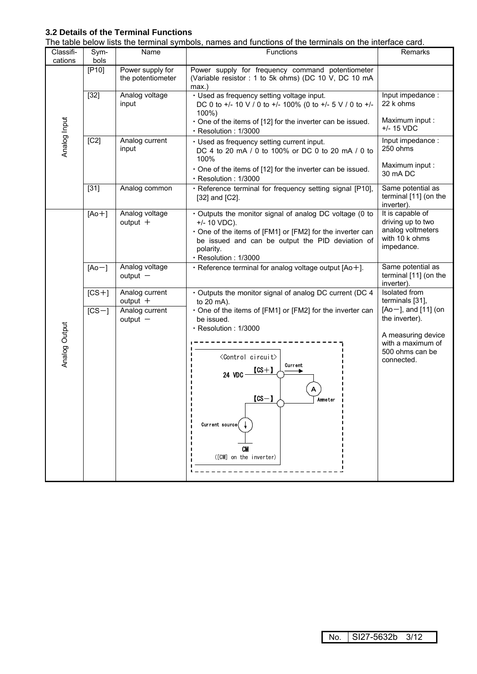## **3.2 Details of the Terminal Functions**

| Classifi-     | Sym-                                    | Name                                  | The table below lists the terminal symbols, names and functions of the terminals on the intenace card.<br><b>Functions</b>                                                                                                       | Remarks                                                                                    |
|---------------|-----------------------------------------|---------------------------------------|----------------------------------------------------------------------------------------------------------------------------------------------------------------------------------------------------------------------------------|--------------------------------------------------------------------------------------------|
| cations       | bols                                    |                                       |                                                                                                                                                                                                                                  |                                                                                            |
|               | [P10]                                   | Power supply for<br>the potentiometer | Power supply for frequency command potentiometer<br>(Variable resistor : 1 to 5k ohms) (DC 10 V, DC 10 mA<br>$max.$ )                                                                                                            |                                                                                            |
|               | $[32]$                                  | Analog voltage<br>input               | · Used as frequency setting voltage input.<br>DC 0 to +/- 10 V / 0 to +/- 100% (0 to +/- 5 V / 0 to +/-<br>100%)                                                                                                                 | Input impedance :<br>22 k ohms                                                             |
| Analog Input  |                                         |                                       | One of the items of [12] for the inverter can be issued.<br>· Resolution: 1/3000                                                                                                                                                 | Maximum input :<br>$+/- 15 VDC$                                                            |
|               | $\overline{[C2]}$                       | Analog current<br>input               | · Used as frequency setting current input.<br>DC 4 to 20 mA / 0 to 100% or DC 0 to 20 mA / 0 to<br>100%                                                                                                                          | Input impedance :<br>250 ohms                                                              |
|               |                                         |                                       | One of the items of [12] for the inverter can be issued.<br>· Resolution: 1/3000                                                                                                                                                 | Maximum input :<br>30 mA DC                                                                |
|               | $[31]$                                  | Analog common                         | · Reference terminal for frequency setting signal [P10],<br>[32] and [C2].                                                                                                                                                       | Same potential as<br>terminal [11] (on the<br>inverter).                                   |
|               | $[Ao+]$                                 | Analog voltage<br>output $+$          | · Outputs the monitor signal of analog DC voltage (0 to<br>$+/- 10 VDC$ ).<br>. One of the items of [FM1] or [FM2] for the inverter can<br>be issued and can be output the PID deviation of<br>polarity.<br>· Resolution: 1/3000 | It is capable of<br>driving up to two<br>analog voltmeters<br>with 10 k ohms<br>impedance. |
|               | Analog voltage<br>$[Ao-]$<br>$output$ – |                                       | · Reference terminal for analog voltage output [Ao+].                                                                                                                                                                            | Same potential as<br>terminal [11] (on the<br>inverter).                                   |
|               | $[CS+]$                                 | Analog current<br>output $+$          | · Outputs the monitor signal of analog DC current (DC 4<br>to 20 mA).                                                                                                                                                            | Isolated from<br>terminals [31],                                                           |
|               | $[CS-]$                                 | Analog current<br>$output$ –          | . One of the items of [FM1] or [FM2] for the inverter can<br>be issued.                                                                                                                                                          | $[Ao-]$ , and $[11]$ (on<br>the inverter).                                                 |
| Analog Output |                                         |                                       | · Resolution: 1/3000<br><control circuit=""><br/>Current<br/><math>[CS+]</math><br/>24 VDC<br/>A<br/><math>[CS-]</math><br/>Ammeter<br/>Current source(<br/>CM<br/>([CM] on the inverter)</control>                              | A measuring device<br>with a maximum of<br>500 ohms can be<br>connected.                   |

The table below lists the terminal symbols, names and functions of the terminals on the interface card.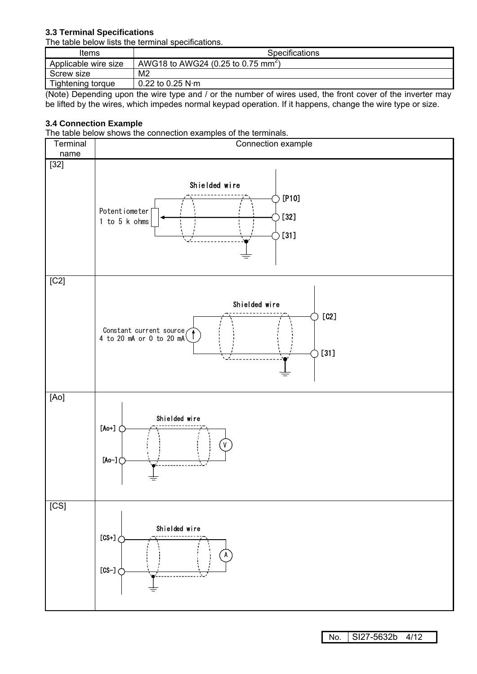## **3.3 Terminal Specifications**

The table below lists the terminal specifications.

| Items                | <b>Specifications</b>                         |
|----------------------|-----------------------------------------------|
| Applicable wire size | AWG18 to AWG24 (0.25 to 0.75 mm <sup>2)</sup> |
| Screw size           | M2                                            |
| Tightening torque    | $0.22$ to 0.25 N·m                            |

(Note) Depending upon the wire type and / or the number of wires used, the front cover of the inverter may be lifted by the wires, which impedes normal keypad operation. If it happens, change the wire type or size.

## **3.4 Connection Example**

The table below shows the connection examples of the terminals.



No. SI27-5632b 4/12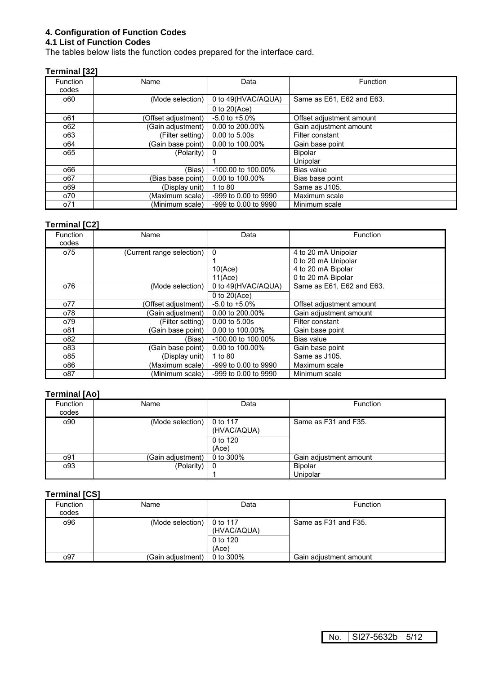## **4. Configuration of Function Codes**

## **4.1 List of Function Codes**

The tables below lists the function codes prepared for the interface card.

## **Terminal [32]**

| <b>Function</b><br>codes | Name                | Data                    | Function                  |
|--------------------------|---------------------|-------------------------|---------------------------|
| 060                      | (Mode selection)    | 0 to 49(HVAC/AQUA)      | Same as E61, E62 and E63. |
|                          |                     | 0 to $20(Ace)$          |                           |
| 061                      | (Offset adjustment) | $-5.0$ to $+5.0\%$      | Offset adjustment amount  |
| 062                      | (Gain adjustment)   | 0.00 to 200.00%         | Gain adjustment amount    |
| 063                      | (Filter setting)    | $0.00$ to $5.00$ s      | Filter constant           |
| 064                      | (Gain base point)   | 0.00 to 100.00%         | Gain base point           |
| 065                      | (Polarity)          |                         | <b>Bipolar</b>            |
|                          |                     |                         | Unipolar                  |
| 066                      | (Bias)              | $-100.00$ to $100.00\%$ | Bias value                |
| 067                      | (Bias base point)   | 0.00 to 100.00%         | Bias base point           |
| 069                      | (Display unit)      | 1 to 80                 | Same as J105.             |
| o70                      | (Maximum scale)     | -999 to 0.00 to 9990    | Maximum scale             |
| o71                      | (Minimum scale)     | -999 to 0.00 to 9990    | Minimum scale             |

## **Terminal [C2]**

| <b>Function</b><br>codes | Name                      | Data                    | Function                  |
|--------------------------|---------------------------|-------------------------|---------------------------|
| o75                      | (Current range selection) | 0                       | 4 to 20 mA Unipolar       |
|                          |                           |                         | 0 to 20 mA Unipolar       |
|                          |                           | 10(Ace)                 | 4 to 20 mA Bipolar        |
|                          |                           | 11(Ace)                 | 0 to 20 mA Bipolar        |
| o76                      | (Mode selection)          | 0 to 49(HVAC/AQUA)      | Same as E61, E62 and E63. |
|                          |                           | $0$ to $20(Ace)$        |                           |
| o77                      | (Offset adjustment)       | $-5.0$ to $+5.0\%$      | Offset adjustment amount  |
| o78                      | (Gain adjustment)         | 0.00 to 200.00%         | Gain adjustment amount    |
| o79                      | (Filter setting)          | $0.00$ to $5.00$ s      | Filter constant           |
| o81                      | (Gain base point)         | 0.00 to 100.00%         | Gain base point           |
| 082                      | (Bias)                    | $-100.00$ to $100.00\%$ | Bias value                |
| 083                      | (Gain base point)         | 0.00 to 100.00%         | Gain base point           |
| 085                      | (Display unit)            | 1 to 80                 | Same as J105.             |
| 086                      | (Maximum scale)           | -999 to 0.00 to 9990    | Maximum scale             |
| 087                      | (Minimum scale)           | -999 to 0.00 to 9990    | Minimum scale             |

#### **Terminal [Ao]**

| <b>Function</b><br>codes | Name              | Data                    | <b>Function</b>        |
|--------------------------|-------------------|-------------------------|------------------------|
| o90                      | (Mode selection)  | 0 to 117<br>(HVAC/AQUA) | Same as F31 and F35.   |
|                          |                   | 0 to 120<br>(Ace)       |                        |
| o91                      | (Gain adjustment) | 0 to 300%               | Gain adjustment amount |
| o93                      | (Polarity)        | 0                       | Bipolar                |
|                          |                   |                         | Unipolar               |

## **Terminal [CS]**

| <b>Function</b><br>codes | Name              | Data                                         | <b>Function</b>        |
|--------------------------|-------------------|----------------------------------------------|------------------------|
| 096                      | (Mode selection)  | 0 to 117<br>(HVAC/AQUA)<br>0 to 120<br>(Ace) | Same as F31 and F35.   |
| о97                      | (Gain adjustment) | 0 to 300%                                    | Gain adjustment amount |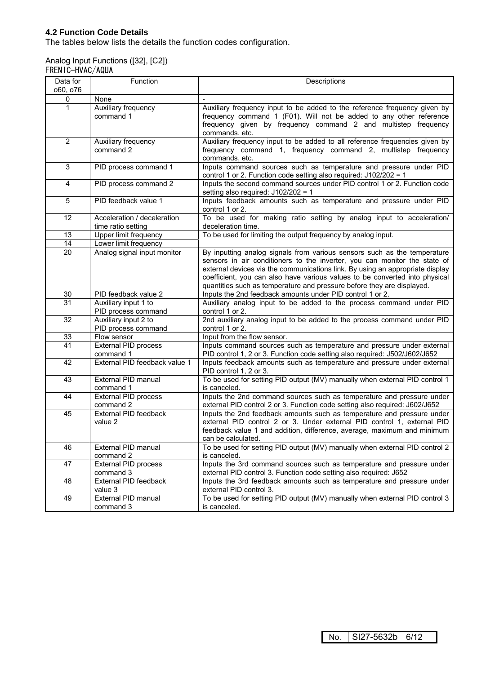## **4.2 Function Code Details**

The tables below lists the details the function codes configuration.

## Analog Input Functions ([32], [C2])

| FRENIC-HVAC/AQUA |
|------------------|
|                  |
|                  |

| Data for<br>060, 076 | Function                                          | Descriptions                                                                                                                                                                                                                                                                                                                                                                                    |  |  |
|----------------------|---------------------------------------------------|-------------------------------------------------------------------------------------------------------------------------------------------------------------------------------------------------------------------------------------------------------------------------------------------------------------------------------------------------------------------------------------------------|--|--|
| 0                    | None                                              |                                                                                                                                                                                                                                                                                                                                                                                                 |  |  |
| 1                    | Auxiliary frequency<br>command 1                  | Auxiliary frequency input to be added to the reference frequency given by<br>frequency command 1 (F01). Will not be added to any other reference<br>frequency given by frequency command 2 and multistep frequency<br>commands, etc.                                                                                                                                                            |  |  |
| $\overline{2}$       | Auxiliary frequency<br>command 2                  | Auxiliary frequency input to be added to all reference frequencies given by<br>frequency command 1, frequency command 2, multistep frequency<br>commands, etc.                                                                                                                                                                                                                                  |  |  |
| 3                    | PID process command 1                             | Inputs command sources such as temperature and pressure under PID<br>control 1 or 2. Function code setting also required: J102/202 = 1                                                                                                                                                                                                                                                          |  |  |
| 4                    | PID process command 2                             | Inputs the second command sources under PID control 1 or 2. Function code<br>setting also required: J102/202 = 1                                                                                                                                                                                                                                                                                |  |  |
| 5                    | PID feedback value 1                              | Inputs feedback amounts such as temperature and pressure under PID<br>control 1 or 2.                                                                                                                                                                                                                                                                                                           |  |  |
| 12                   | Acceleration / deceleration<br>time ratio setting | To be used for making ratio setting by analog input to acceleration/<br>deceleration time.                                                                                                                                                                                                                                                                                                      |  |  |
| 13                   | Upper limit frequency                             | To be used for limiting the output frequency by analog input.                                                                                                                                                                                                                                                                                                                                   |  |  |
| 14                   | Lower limit frequency                             |                                                                                                                                                                                                                                                                                                                                                                                                 |  |  |
| 20                   | Analog signal input monitor                       | By inputting analog signals from various sensors such as the temperature<br>sensors in air conditioners to the inverter, you can monitor the state of<br>external devices via the communications link. By using an appropriate display<br>coefficient, you can also have various values to be converted into physical<br>quantities such as temperature and pressure before they are displayed. |  |  |
| 30                   | PID feedback value 2                              | Inputs the 2nd feedback amounts under PID control 1 or 2.                                                                                                                                                                                                                                                                                                                                       |  |  |
| 31                   | Auxiliary input 1 to<br>PID process command       | Auxiliary analog input to be added to the process command under PID<br>control 1 or 2.                                                                                                                                                                                                                                                                                                          |  |  |
| 32                   | Auxiliary input 2 to<br>PID process command       | 2nd auxiliary analog input to be added to the process command under PID<br>control 1 or 2.                                                                                                                                                                                                                                                                                                      |  |  |
| 33                   | Flow sensor                                       | Input from the flow sensor.                                                                                                                                                                                                                                                                                                                                                                     |  |  |
| 41                   | External PID process<br>command 1                 | Inputs command sources such as temperature and pressure under external<br>PID control 1, 2 or 3. Function code setting also required: J502/J602/J652                                                                                                                                                                                                                                            |  |  |
| 42                   | External PID feedback value 1                     | Inputs feedback amounts such as temperature and pressure under external<br>PID control 1, 2 or 3.                                                                                                                                                                                                                                                                                               |  |  |
| 43                   | <b>External PID manual</b><br>command 1           | To be used for setting PID output (MV) manually when external PID control 1<br>is canceled.                                                                                                                                                                                                                                                                                                     |  |  |
| 44                   | External PID process<br>command 2                 | Inputs the 2nd command sources such as temperature and pressure under<br>external PID control 2 or 3. Function code setting also required: J602/J652                                                                                                                                                                                                                                            |  |  |
| 45                   | External PID feedback<br>value 2                  | Inputs the 2nd feedback amounts such as temperature and pressure under<br>external PID control 2 or 3. Under external PID control 1, external PID<br>feedback value 1 and addition, difference, average, maximum and minimum<br>can be calculated.                                                                                                                                              |  |  |
| 46                   | External PID manual<br>command 2                  | To be used for setting PID output (MV) manually when external PID control 2<br>is canceled.                                                                                                                                                                                                                                                                                                     |  |  |
| 47                   | External PID process<br>command 3                 | Inputs the 3rd command sources such as temperature and pressure under<br>external PID control 3. Function code setting also required: J652                                                                                                                                                                                                                                                      |  |  |
| 48                   | External PID feedback<br>value 3                  | Inputs the 3rd feedback amounts such as temperature and pressure under<br>external PID control 3.                                                                                                                                                                                                                                                                                               |  |  |
| 49                   | External PID manual<br>command 3                  | To be used for setting PID output (MV) manually when external PID control 3<br>is canceled.                                                                                                                                                                                                                                                                                                     |  |  |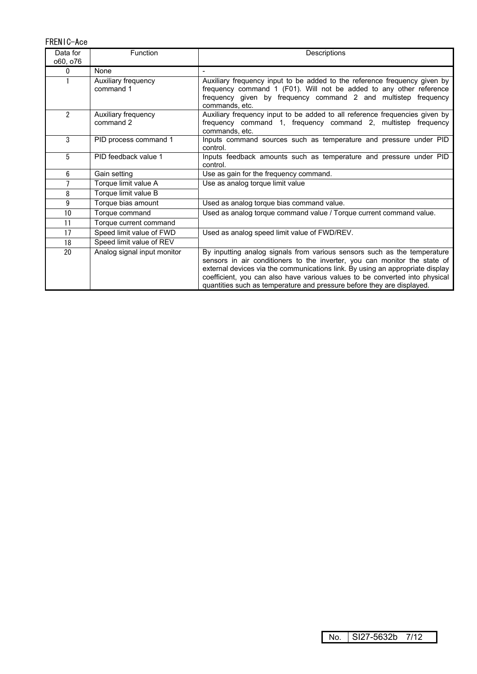FRENIC-Ace

| Data for<br>060, 076 | Function                         | Descriptions                                                                                                                                                                                                                                                                                                                                                                                    |  |  |
|----------------------|----------------------------------|-------------------------------------------------------------------------------------------------------------------------------------------------------------------------------------------------------------------------------------------------------------------------------------------------------------------------------------------------------------------------------------------------|--|--|
| $\mathbf{0}$         | None                             |                                                                                                                                                                                                                                                                                                                                                                                                 |  |  |
|                      | Auxiliary frequency<br>command 1 | Auxiliary frequency input to be added to the reference frequency given by<br>frequency command 1 (F01). Will not be added to any other reference<br>frequency given by frequency command 2 and multistep frequency<br>commands, etc.                                                                                                                                                            |  |  |
| $\mathfrak{p}$       | Auxiliary frequency<br>command 2 | Auxiliary frequency input to be added to all reference frequencies given by<br>frequency command 1, frequency command 2, multistep frequency<br>commands, etc.                                                                                                                                                                                                                                  |  |  |
| 3                    | PID process command 1            | Inputs command sources such as temperature and pressure under PID<br>control.                                                                                                                                                                                                                                                                                                                   |  |  |
| 5                    | PID feedback value 1             | Inputs feedback amounts such as temperature and pressure under PID<br>control.                                                                                                                                                                                                                                                                                                                  |  |  |
| 6                    | Gain setting                     | Use as gain for the frequency command.                                                                                                                                                                                                                                                                                                                                                          |  |  |
| 7                    | Torque limit value A             | Use as analog torque limit value                                                                                                                                                                                                                                                                                                                                                                |  |  |
| 8                    | Torque limit value B             |                                                                                                                                                                                                                                                                                                                                                                                                 |  |  |
| 9                    | Torque bias amount               | Used as analog torque bias command value.                                                                                                                                                                                                                                                                                                                                                       |  |  |
| 10                   | Torque command                   | Used as analog torque command value / Torque current command value.                                                                                                                                                                                                                                                                                                                             |  |  |
| 11                   | Torque current command           |                                                                                                                                                                                                                                                                                                                                                                                                 |  |  |
| 17                   | Speed limit value of FWD         | Used as analog speed limit value of FWD/REV.                                                                                                                                                                                                                                                                                                                                                    |  |  |
| 18                   | Speed limit value of REV         |                                                                                                                                                                                                                                                                                                                                                                                                 |  |  |
| 20                   | Analog signal input monitor      | By inputting analog signals from various sensors such as the temperature<br>sensors in air conditioners to the inverter, you can monitor the state of<br>external devices via the communications link. By using an appropriate display<br>coefficient, you can also have various values to be converted into physical<br>quantities such as temperature and pressure before they are displayed. |  |  |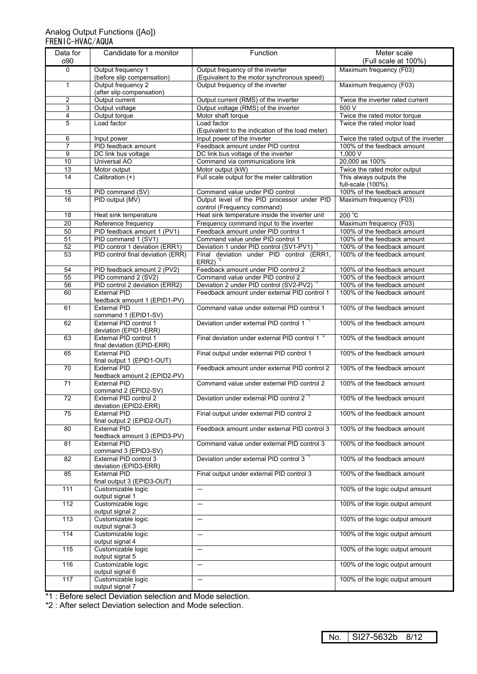#### Analog Output Functions ([Ao]) FRENIC-HVAC/AQUA

| Data for<br>o90 | Candidate for a monitor                                             | Function                                                                            | Meter scale<br>(Full scale at 100%)                        |  |
|-----------------|---------------------------------------------------------------------|-------------------------------------------------------------------------------------|------------------------------------------------------------|--|
| 0               | Output frequency 1<br>(before slip compensation)                    | Output frequency of the inverter<br>(Equivalent to the motor synchronous speed)     | Maximum frequency (F03)                                    |  |
| $\mathbf{1}$    | Output frequency 2<br>(after slip compensation)                     | Output frequency of the inverter                                                    | Maximum frequency (F03)                                    |  |
| $\mathbf{2}$    | Output current                                                      | Output current (RMS) of the inverter                                                | Twice the inverter rated current                           |  |
| 3               | Output voltage                                                      | Output voltage (RMS) of the inverter                                                | 500V                                                       |  |
| $\overline{4}$  | Output torque                                                       | Motor shaft torque                                                                  | Twice the rated motor torque                               |  |
| 5               | Load factor                                                         | Load factor<br>(Equivalent to the indication of the load meter)                     | Twice the rated motor load                                 |  |
| 6               | Input power                                                         | Input power of the inverter                                                         | Twice the rated output of the inverter                     |  |
| $\overline{7}$  | PID feedback amount                                                 | Feedback amount under PID control                                                   | 100% of the feedback amount                                |  |
| 9               | DC link bus voltage                                                 | DC link bus voltage of the inverter                                                 | 1,000V                                                     |  |
| 10<br>13        | <b>Universal AO</b><br>Motor output                                 | Command via communications link<br>Motor output (kW)                                | 20,000 as 100%<br>Twice the rated motor output             |  |
| 14              | Calibration (+)                                                     | Full scale output for the meter calibration                                         | This always outputs the                                    |  |
|                 |                                                                     |                                                                                     | full-scale (100%).                                         |  |
| 15              | PID command (SV)                                                    | Command value under PID control                                                     | 100% of the feedback amount                                |  |
| 16              | PID output (MV)                                                     | Output level of the PID processor under PID<br>control (Frequency command)          | Maximum frequency (F03)                                    |  |
| 18              | Heat sink temperature                                               | Heat sink temperature inside the inverter unit                                      | $200^{\circ}$ C                                            |  |
| $\overline{20}$ | Reference frequency                                                 | Frequency command input to the inverter                                             | Maximum frequency (F03)                                    |  |
| 50              | PID feedback amount 1 (PV1)                                         | Feedback amount under PID control 1                                                 | 100% of the feedback amount                                |  |
| 51              | PID command 1 (SV1)                                                 | Command value under PID control 1                                                   | 100% of the feedback amount                                |  |
| 52<br>53        | PID control 1 deviation (ERR1)<br>PID control final deviation (ERR) | Deviation 1 under PID control (SV1-PV1)<br>Final deviation under PID control (ERR1, | 100% of the feedback amount<br>100% of the feedback amount |  |
|                 |                                                                     | $ERR2$ <sup>2</sup>                                                                 |                                                            |  |
| 54              | PID feedback amount 2 (PV2)                                         | Feedback amount under PID control 2<br>Command value under PID control 2            | 100% of the feedback amount                                |  |
| 55<br>56        | PID command 2 (SV2)<br>PID control 2 deviation (ERR2)               | Deviation 2 under PID control (SV2-PV2)                                             | 100% of the feedback amount<br>100% of the feedback amount |  |
| 60              | <b>External PID</b>                                                 | Feedback amount under external PID control 1                                        | 100% of the feedback amount                                |  |
|                 | feedback amount 1 (EPID1-PV)                                        |                                                                                     |                                                            |  |
| 61              | <b>External PID</b><br>command 1 (EPID1-SV)                         | Command value under external PID control 1                                          | 100% of the feedback amount                                |  |
| 62              | External PID control 1<br>deviation (EPID1-ERR)                     | Deviation under external PID control 1 <sup>"1</sup>                                | 100% of the feedback amount                                |  |
| 63              | External PID control 1<br>final deviation (EPID-ERR)                | Final deviation under external PID control 1 <sup>-2</sup>                          | 100% of the feedback amount                                |  |
| 65              | External PID<br>final output 1 (EPID1-OUT)                          | Final output under external PID control 1                                           | 100% of the feedback amount                                |  |
| $\overline{70}$ | <b>External PID</b><br>feedback amount 2 (EPID2-PV)                 | Feedback amount under external PID control 2                                        | 100% of the feedback amount                                |  |
| $\overline{71}$ | <b>External PID</b><br>command 2 (EPID2-SV)                         | Command value under external PID control 2                                          | 100% of the feedback amount                                |  |
| $\overline{72}$ | External PID control 2<br>deviation (EPID2-ERR)                     | Deviation under external PID control 2 <sup>*1</sup>                                | 100% of the feedback amount                                |  |
| 75              | <b>External PID</b><br>final output 2 (EPID2-OUT)                   | Final output under external PID control 2                                           | 100% of the feedback amount                                |  |
| 80              | <b>External PID</b><br>feedback amount 3 (EPID3-PV)                 | Feedback amount under external PID control 3                                        | 100% of the feedback amount                                |  |
| 81              | <b>External PID</b><br>command 3 (EPID3-SV)                         | Command value under external PID control 3                                          | 100% of the feedback amount                                |  |
| 82              | External PID control 3<br>deviation (EPID3-ERR)                     | Deviation under external PID control 3 <sup>*1</sup>                                | 100% of the feedback amount                                |  |
| 85              | <b>External PID</b><br>final output 3 (EPID3-OUT)                   | Final output under external PID control 3                                           | 100% of the feedback amount                                |  |
| 111             | Customizable logic<br>output signal 1                               | $\overline{\phantom{m}}$                                                            | 100% of the logic output amount                            |  |
| 112             | Customizable logic<br>output signal 2                               | $\qquad \qquad -$                                                                   | 100% of the logic output amount                            |  |
| 113             | Customizable logic<br>output signal 3                               | $\overline{\phantom{m}}$                                                            | 100% of the logic output amount                            |  |
| 114             | Customizable logic<br>output signal 4                               |                                                                                     | 100% of the logic output amount                            |  |
| 115             | Customizable logic<br>output signal 5                               | $\qquad \qquad -$                                                                   | 100% of the logic output amount                            |  |
| 116             | Customizable logic<br>output signal 6                               |                                                                                     | 100% of the logic output amount                            |  |
| 117             | Customizable logic<br>output signal 7                               | $\overline{\phantom{0}}$                                                            | 100% of the logic output amount                            |  |
|                 |                                                                     |                                                                                     |                                                            |  |

\*1 : Before select Deviation selection and Mode selection.

\*2 : After select Deviation selection and Mode selection.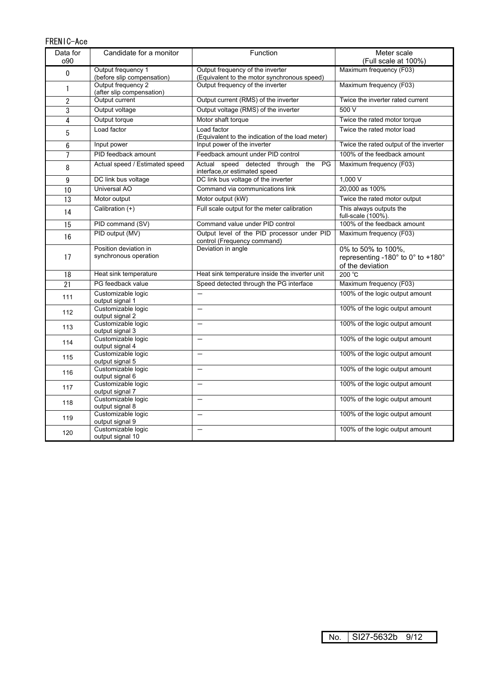| FRENIC-Ace      |                                                  |                                                                                 |                                                                             |  |  |
|-----------------|--------------------------------------------------|---------------------------------------------------------------------------------|-----------------------------------------------------------------------------|--|--|
| Data for<br>o90 | Candidate for a monitor<br>Function              |                                                                                 | Meter scale<br>(Full scale at 100%)                                         |  |  |
| $\pmb{0}$       | Output frequency 1<br>(before slip compensation) | Output frequency of the inverter<br>(Equivalent to the motor synchronous speed) | Maximum frequency (F03)                                                     |  |  |
| 1               | Output frequency 2<br>(after slip compensation)  | Output frequency of the inverter                                                | Maximum frequency (F03)                                                     |  |  |
| $\overline{2}$  | Output current                                   | Output current (RMS) of the inverter                                            | Twice the inverter rated current                                            |  |  |
| 3               | Output voltage                                   | Output voltage (RMS) of the inverter                                            | 500V                                                                        |  |  |
| 4               | Output torque                                    | Motor shaft torque                                                              | Twice the rated motor torque                                                |  |  |
| 5               | Load factor                                      | Load factor<br>(Equivalent to the indication of the load meter)                 | Twice the rated motor load                                                  |  |  |
| 6               | Input power                                      | Input power of the inverter                                                     | Twice the rated output of the inverter                                      |  |  |
| $\overline{7}$  | PID feedback amount                              | Feedback amount under PID control                                               | 100% of the feedback amount                                                 |  |  |
| 8               | Actual speed / Estimated speed                   | Actual speed detected through<br>the<br>PG<br>interface, or estimated speed     | Maximum frequency (F03)                                                     |  |  |
| 9               | DC link bus voltage                              | DC link bus voltage of the inverter                                             | 1.000V                                                                      |  |  |
| 10              | Universal AO                                     | Command via communications link                                                 | 20,000 as 100%                                                              |  |  |
| 13              | Motor output                                     | Motor output (kW)                                                               | Twice the rated motor output                                                |  |  |
| 14              | Calibration (+)                                  | Full scale output for the meter calibration                                     | This always outputs the<br>full-scale (100%).                               |  |  |
| 15              | PID command (SV)                                 | Command value under PID control                                                 | 100% of the feedback amount                                                 |  |  |
| 16              | PID output (MV)                                  | Output level of the PID processor under PID<br>control (Frequency command)      | Maximum frequency (F03)                                                     |  |  |
| 17              | Position deviation in<br>synchronous operation   | Deviation in angle                                                              | 0% to 50% to 100%,<br>representing -180° to 0° to +180°<br>of the deviation |  |  |
| 18              | Heat sink temperature                            | Heat sink temperature inside the inverter unit                                  | 200 °C                                                                      |  |  |
| $\overline{21}$ | PG feedback value                                | Speed detected through the PG interface                                         | Maximum frequency (F03)                                                     |  |  |
| 111             | Customizable logic<br>output signal 1            |                                                                                 | 100% of the logic output amount                                             |  |  |
| 112             | Customizable logic<br>output signal 2            | $\overline{\phantom{0}}$                                                        | 100% of the logic output amount                                             |  |  |
| 113             | Customizable logic<br>output signal 3            | $\overline{\phantom{0}}$                                                        | 100% of the logic output amount                                             |  |  |
| 114             | Customizable logic<br>output signal 4            | $\overline{\phantom{0}}$                                                        | 100% of the logic output amount                                             |  |  |
| 115             | Customizable logic<br>output signal 5            |                                                                                 | 100% of the logic output amount                                             |  |  |
| 116             | Customizable logic<br>output signal 6            | $\overline{\phantom{0}}$                                                        | 100% of the logic output amount                                             |  |  |
| 117             | Customizable logic<br>output signal 7            | $\overline{\phantom{0}}$                                                        | 100% of the logic output amount                                             |  |  |
| 118             | Customizable logic<br>output signal 8            | $\overline{\phantom{0}}$                                                        | 100% of the logic output amount                                             |  |  |
| 119             | Customizable logic<br>output signal 9            | $\overline{\phantom{0}}$                                                        | 100% of the logic output amount                                             |  |  |
| 120             | Customizable logic<br>output signal 10           |                                                                                 | 100% of the logic output amount                                             |  |  |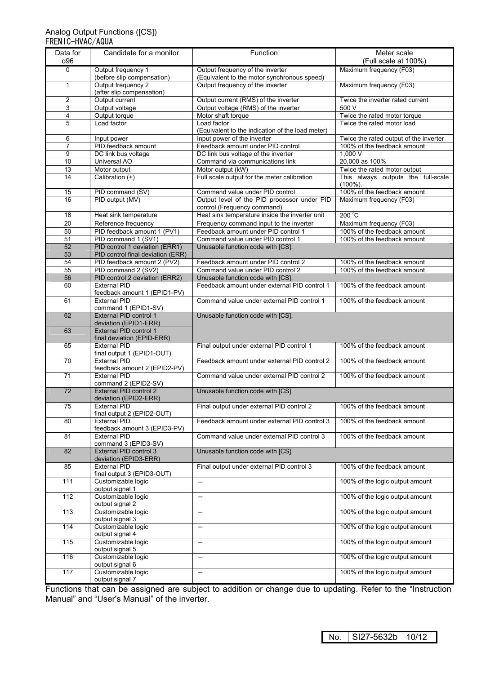#### Analog Output Functions ([CS]) FRENIC-HVAC/AQUA

| Data for<br>096         | Candidate for a monitor                               | Function                                                                        | Meter scale<br>(Full scale at 100%)    |  |
|-------------------------|-------------------------------------------------------|---------------------------------------------------------------------------------|----------------------------------------|--|
| $\Omega$                | Output frequency 1<br>(before slip compensation)      | Output frequency of the inverter<br>(Equivalent to the motor synchronous speed) | Maximum frequency (F03)                |  |
| $\mathbf{1}$            | Output frequency 2<br>(after slip compensation)       | Output frequency of the inverter                                                | Maximum frequency (F03)                |  |
| $\overline{2}$          | Output current                                        | Output current (RMS) of the inverter                                            | Twice the inverter rated current       |  |
| 3                       | Output voltage                                        | Output voltage (RMS) of the inverter                                            | 500V                                   |  |
| $\overline{\mathbf{4}}$ | Output torque                                         | Motor shaft torque                                                              | Twice the rated motor torque           |  |
| 5                       | Load factor                                           | Load factor<br>(Equivalent to the indication of the load meter)                 | Twice the rated motor load             |  |
| 6                       | Input power                                           | Input power of the inverter                                                     | Twice the rated output of the inverter |  |
| $\overline{7}$<br>9     | PID feedback amount<br>DC link bus voltage            | Feedback amount under PID control                                               | 100% of the feedback amount<br>1.000V  |  |
| 10                      | Universal AO                                          | DC link bus voltage of the inverter<br>Command via communications link          | 20,000 as 100%                         |  |
| 13                      | Motor output                                          | Motor output (kW)                                                               | Twice the rated motor output           |  |
| 14                      | Calibration (+)                                       | Full scale output for the meter calibration                                     | This always outputs the full-scale     |  |
|                         |                                                       |                                                                                 | $(100\%)$ .                            |  |
| 15                      | PID command (SV)                                      | Command value under PID control                                                 | 100% of the feedback amount            |  |
| 16                      | PID output (MV)                                       | Output level of the PID processor under PID<br>control (Frequency command)      | Maximum frequency (F03)                |  |
| 18                      | Heat sink temperature                                 | Heat sink temperature inside the inverter unit                                  | 200 °C                                 |  |
| $\overline{20}$         | Reference frequency                                   | Frequency command input to the inverter                                         | Maximum frequency (F03)                |  |
| 50                      | PID feedback amount 1 (PV1)                           | Feedback amount under PID control 1                                             | 100% of the feedback amount            |  |
| 51                      | PID command 1 (SV1)                                   | Command value under PID control 1                                               | 100% of the feedback amount            |  |
| 52                      | PID control 1 deviation (ERR1)                        | Unusable function code with [CS].                                               |                                        |  |
| 53                      | PID control final deviation (ERR)                     |                                                                                 |                                        |  |
| 54                      | PID feedback amount 2 (PV2)                           | Feedback amount under PID control 2                                             | 100% of the feedback amount            |  |
| 55<br>56                | PID command 2 (SV2)<br>PID control 2 deviation (ERR2) | Command value under PID control 2<br>Unusable function code with [CS].          | 100% of the feedback amount            |  |
| 60                      | <b>External PID</b>                                   | Feedback amount under external PID control 1                                    | 100% of the feedback amount            |  |
|                         | feedback amount 1 (EPID1-PV)                          |                                                                                 |                                        |  |
| 61                      | <b>External PID</b><br>command 1 (EPID1-SV)           | Command value under external PID control 1                                      | 100% of the feedback amount            |  |
| 62                      | External PID control 1<br>deviation (EPID1-ERR)       | Unusable function code with [CS].                                               |                                        |  |
| 63                      | External PID control 1<br>final deviation (EPID-ERR)  |                                                                                 |                                        |  |
| 65                      | <b>External PID</b><br>final output 1 (EPID1-OUT)     | Final output under external PID control 1                                       | 100% of the feedback amount            |  |
| 70                      | <b>External PID</b><br>feedback amount 2 (EPID2-PV)   | Feedback amount under external PID control 2                                    | 100% of the feedback amount            |  |
| 71                      | <b>External PID</b><br>command 2 (EPID2-SV)           | Command value under external PID control 2                                      | 100% of the feedback amount            |  |
| $\overline{72}$         | External PID control 2<br>deviation (EPID2-ERR)       | Unusable function code with [CS].                                               |                                        |  |
| 75                      | <b>External PID</b><br>final output 2 (EPID2-OUT)     | Final output under external PID control 2                                       | 100% of the feedback amount            |  |
| 80                      | <b>External PID</b><br>feedback amount 3 (EPID3-PV)   | Feedback amount under external PID control 3                                    | 100% of the feedback amount            |  |
| 81                      | <b>External PID</b><br>command 3 (EPID3-SV)           | Command value under external PID control 3                                      | 100% of the feedback amount            |  |
| 82                      | External PID control 3<br>deviation (EPID3-ERR)       | Unusable function code with [CS].                                               |                                        |  |
| 85                      | <b>External PID</b><br>final output 3 (EPID3-OUT)     | Final output under external PID control 3                                       | 100% of the feedback amount            |  |
| 111                     | Customizable logic<br>output signal 1                 | $\qquad \qquad -$                                                               | 100% of the logic output amount        |  |
| 112                     | Customizable logic<br>output signal 2                 | $\overline{\phantom{0}}$                                                        | 100% of the logic output amount        |  |
| 113                     | Customizable logic<br>output signal 3                 | $\overline{\phantom{0}}$                                                        | 100% of the logic output amount        |  |
| 114                     | Customizable logic<br>output signal 4                 |                                                                                 | 100% of the logic output amount        |  |
| 115                     | Customizable logic<br>output signal 5                 | $\overline{\phantom{0}}$                                                        | 100% of the logic output amount        |  |
| 116                     | Customizable logic<br>output signal 6                 | $\qquad \qquad -$                                                               | 100% of the logic output amount        |  |
| 117                     | Customizable logic<br>output signal 7                 | $\overline{\phantom{0}}$                                                        | 100% of the logic output amount        |  |

Functions that can be assigned are subject to addition or change due to updating. Refer to the "Instruction Manual" and "User's Manual" of the inverter.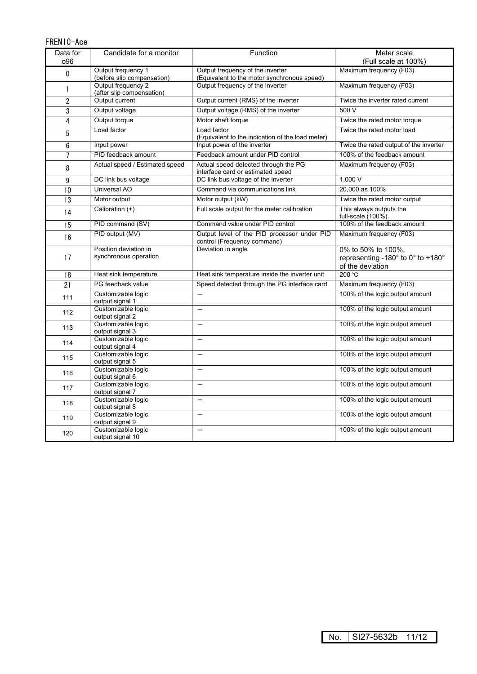### FRENIC-Ace

| Data for        | Candidate for a monitor                                     | Function                                                                        | Meter scale                                                                 |  |
|-----------------|-------------------------------------------------------------|---------------------------------------------------------------------------------|-----------------------------------------------------------------------------|--|
| 096             |                                                             |                                                                                 | (Full scale at 100%)                                                        |  |
| $\pmb{0}$       | Output frequency 1<br>(before slip compensation)            | Output frequency of the inverter<br>(Equivalent to the motor synchronous speed) | Maximum frequency (F03)                                                     |  |
| 1               | Output frequency 2<br>(after slip compensation)             | Output frequency of the inverter                                                | Maximum frequency (F03)                                                     |  |
| $\mathbf{2}$    | Output current                                              | Output current (RMS) of the inverter                                            | Twice the inverter rated current                                            |  |
| $\sqrt{3}$      | Output voltage                                              | Output voltage (RMS) of the inverter                                            | 500 V                                                                       |  |
| $\overline{4}$  | Output torque                                               | Motor shaft torque                                                              | Twice the rated motor torque                                                |  |
| 5               | Load factor                                                 | Load factor<br>(Equivalent to the indication of the load meter)                 | Twice the rated motor load                                                  |  |
| $6\phantom{1}$  | Input power                                                 | Input power of the inverter                                                     | Twice the rated output of the inverter                                      |  |
| $\overline{7}$  | PID feedback amount                                         | Feedback amount under PID control                                               | 100% of the feedback amount                                                 |  |
| 8               | Actual speed / Estimated speed                              | Actual speed detected through the PG<br>interface card or estimated speed       | Maximum frequency (F03)                                                     |  |
| 9               | DC link bus voltage                                         | DC link bus voltage of the inverter                                             | 1,000V                                                                      |  |
| 10              | <b>Universal AO</b>                                         | Command via communications link                                                 | 20,000 as 100%                                                              |  |
| 13              | Motor output                                                | Motor output (kW)                                                               | Twice the rated motor output                                                |  |
| 14              | Calibration (+)                                             | Full scale output for the meter calibration                                     | This always outputs the<br>full-scale (100%).                               |  |
| $\overline{15}$ | PID command (SV)                                            | Command value under PID control                                                 | 100% of the feedback amount                                                 |  |
| 16              | PID output (MV)                                             | Output level of the PID processor under PID<br>control (Frequency command)      | Maximum frequency (F03)                                                     |  |
| 17              | Position deviation in<br>synchronous operation              | Deviation in angle                                                              | 0% to 50% to 100%,<br>representing -180° to 0° to +180°<br>of the deviation |  |
| 18              | Heat sink temperature                                       | Heat sink temperature inside the inverter unit                                  | 200 °C                                                                      |  |
| 21              | PG feedback value                                           | Speed detected through the PG interface card                                    | Maximum frequency (F03)                                                     |  |
| 111             | Customizable logic<br>output signal 1                       | $\equiv$                                                                        | 100% of the logic output amount                                             |  |
| 112             | Customizable logic<br>output signal 2                       |                                                                                 | 100% of the logic output amount                                             |  |
| 113             | Customizable logic<br>output signal 3                       | $\overline{\phantom{0}}$                                                        | 100% of the logic output amount                                             |  |
| 114             | Customizable logic<br>output signal 4                       | $\overline{\phantom{0}}$                                                        | 100% of the logic output amount                                             |  |
| 115             | Customizable logic<br>output signal 5                       | $\overline{\phantom{0}}$                                                        | 100% of the logic output amount                                             |  |
| 116             | Customizable logic<br>output signal 6                       | $\overline{\phantom{0}}$                                                        | 100% of the logic output amount                                             |  |
| 117             | Customizable logic<br>output signal 7                       | $\overline{\phantom{0}}$                                                        | 100% of the logic output amount                                             |  |
| 118             | Customizable logic<br>output signal 8                       | $\overline{\phantom{0}}$                                                        | 100% of the logic output amount                                             |  |
| 119             | Customizable logic<br>output signal 9<br>Customizable logic | $\overline{\phantom{0}}$                                                        | 100% of the logic output amount                                             |  |
| 120             | output signal 10                                            |                                                                                 | 100% of the logic output amount                                             |  |